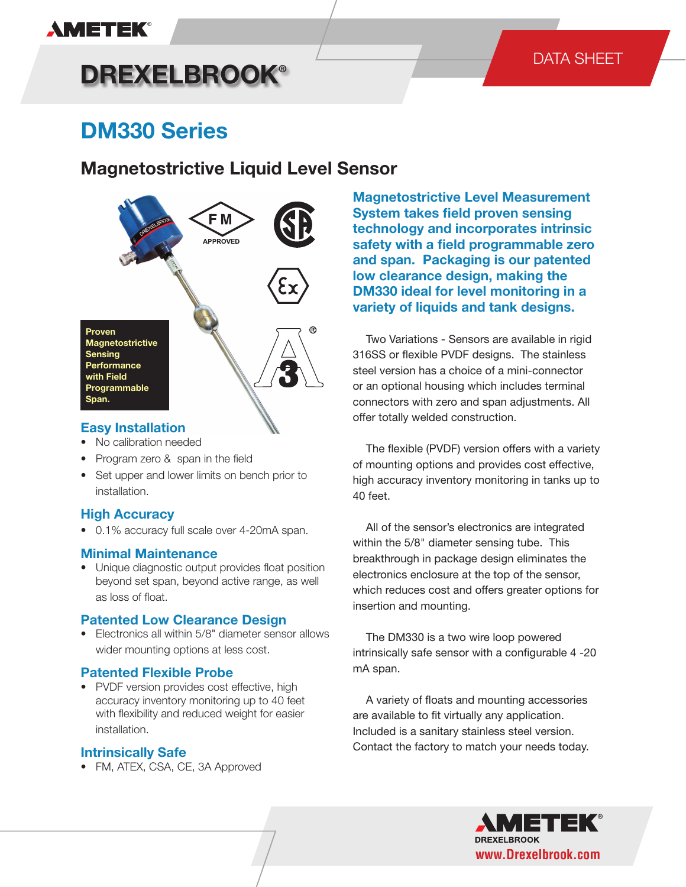## **AMETEK®**

# **DREXELBROOK®**

### DATA SHEET

## **DM330 Series**

### **Magnetostrictive Liquid Level Sensor**



#### **Easy Installation**

- No calibration needed
- Program zero & span in the field
- Set upper and lower limits on bench prior to installation.

#### **High Accuracy**

• 0.1% accuracy full scale over 4-20mA span.

#### **Minimal Maintenance**

• Unique diagnostic output provides float position beyond set span, beyond active range, as well as loss of float.

#### **Patented Low Clearance Design**

• Electronics all within 5/8" diameter sensor allows wider mounting options at less cost.

#### **Patented Flexible Probe**

• PVDF version provides cost effective, high accuracy inventory monitoring up to 40 feet with flexibility and reduced weight for easier installation.

#### **Intrinsically Safe**

• FM, ATEX, CSA, CE, 3A Approved

**Magnetostrictive Level Measurement System takes field proven sensing technology and incorporates intrinsic safety with a field programmable zero and span. Packaging is our patented low clearance design, making the DM330 ideal for level monitoring in a variety of liquids and tank designs.**

 Two Variations - Sensors are available in rigid 316SS or flexible PVDF designs. The stainless steel version has a choice of a mini-connector or an optional housing which includes terminal connectors with zero and span adjustments. All offer totally welded construction.

 The flexible (PVDF) version offers with a variety of mounting options and provides cost effective, high accuracy inventory monitoring in tanks up to 40 feet.

 All of the sensor's electronics are integrated within the 5/8" diameter sensing tube. This breakthrough in package design eliminates the electronics enclosure at the top of the sensor, which reduces cost and offers greater options for insertion and mounting.

 The DM330 is a two wire loop powered intrinsically safe sensor with a configurable 4 -20 mA span.

 A variety of floats and mounting accessories are available to fit virtually any application. Included is a sanitary stainless steel version. Contact the factory to match your needs today.

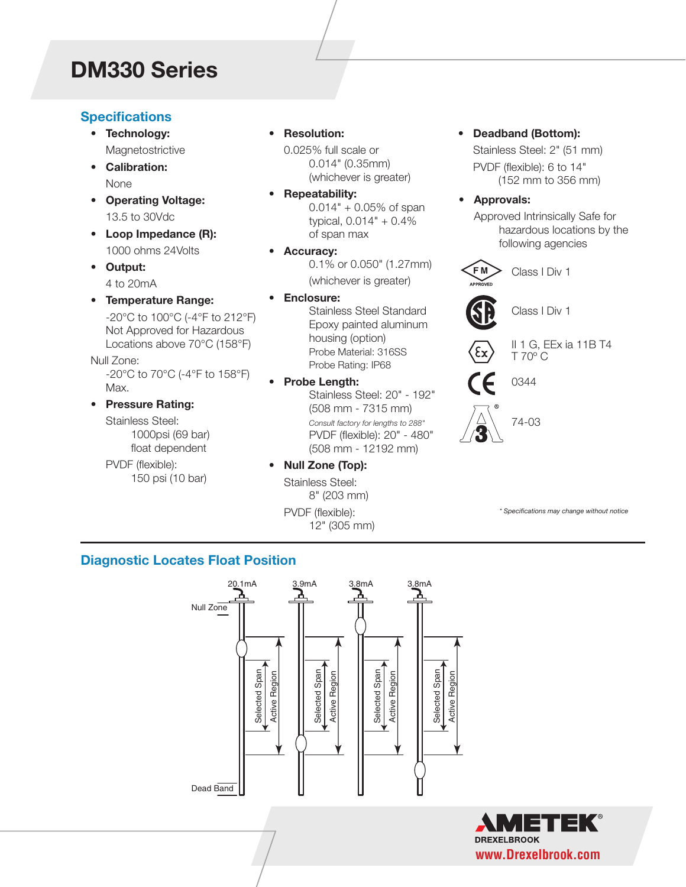## **DM330 Series**

#### **Specifications**

- **• Technology:** Magnetostrictive
- **• Calibration:** None
- **• Operating Voltage:** 13.5 to 30Vdc
- **• Loop Impedance (R):** 1000 ohms 24Volts
- **• Output:** 4 to 20mA
- **• Temperature Range:** -20°C to 100°C (-4°F to 212°F) Not Approved for Hazardous Locations above 70°C (158°F)

Null Zone: -20°C to 70°C (-4°F to 158°F) Max.

**• Pressure Rating:** Stainless Steel:

1000psi (69 bar) float dependent

PVDF (flexible): 150 psi (10 bar) **• Resolution:**

0.025% full scale or 0.014" (0.35mm) (whichever is greater)

- **• Repeatability:** 0.014" + 0.05% of span typical, 0.014" + 0.4% of span max
- **• Accuracy:** 0.1% or 0.050" (1.27mm) (whichever is greater)
- **• Enclosure:**

Stainless Steel Standard Epoxy painted aluminum housing (option) Probe Material: 316SS Probe Rating: IP68

- **• Probe Length:** Stainless Steel: 20" - 192" (508 mm - 7315 mm) *Consult factory for lengths to 288"* PVDF (flexible): 20" - 480" (508 mm - 12192 mm)
- **• Null Zone (Top):**

Stainless Steel: 8" (203 mm) PVDF (flexible): 12" (305 mm)

- **• Deadband (Bottom):** Stainless Steel: 2" (51 mm) PVDF (flexible): 6 to 14" (152 mm to 356 mm)
	- **• Approvals:**

Approved Intrinsically Safe for hazardous locations by the following agencies



*\* Specifications may change without notice*

#### **Diagnostic Locates Float Position**



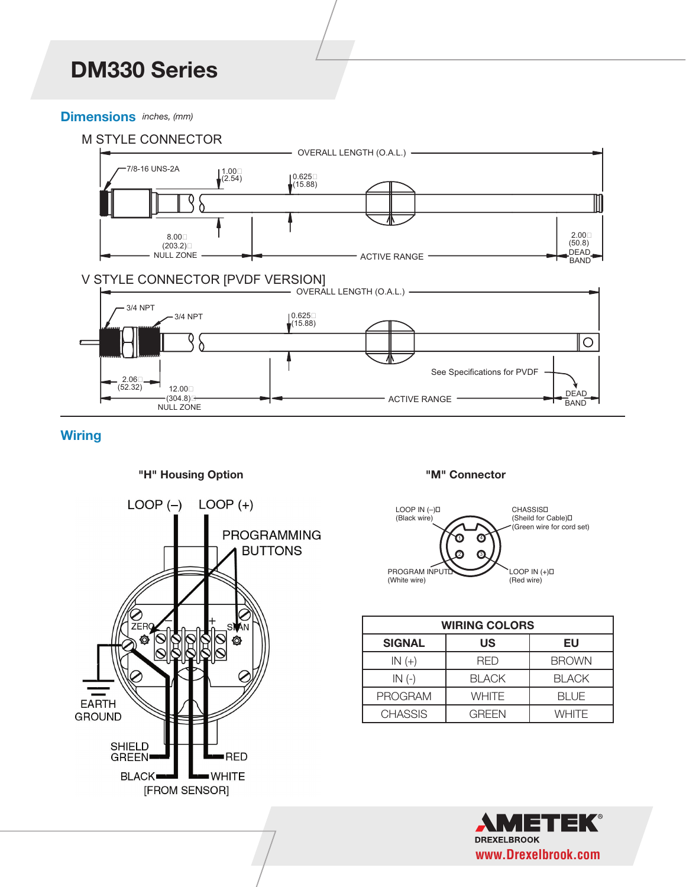### *DM330 Series* **DM330 Series**

#### **Dimensions** *inches, (mm)*



#### **Wiring**

#### **"H" Housing Option**



#### **"M" Connector**



| <b>WIRING COLORS</b> |              |              |
|----------------------|--------------|--------------|
| <b>SIGNAL</b>        | <b>US</b>    | EU           |
| $IN (+)$             | RFD          | <b>BROWN</b> |
| $IN(-)$              | <b>BLACK</b> | <b>BLACK</b> |
| <b>PROGRAM</b>       | <b>WHITE</b> | <b>BLUE</b>  |
| <b>CHASSIS</b>       | GRFFN        | <b>WHITE</b> |